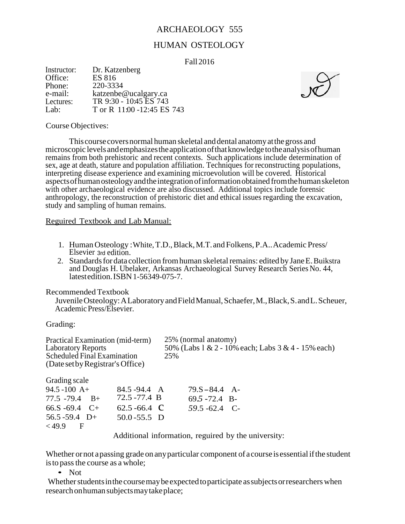# ARCHAEOLOGY 555

## HUMAN OSTEOLOGY

Fall 2016

| Instructor: | Dr. Katzenberg             |
|-------------|----------------------------|
| Office:     | ES 816                     |
| Phone:      | 220-3334                   |
| e-mail:     | katzenbe@ucalgary.ca       |
| Lectures:   | TR 9:30 - 10:45 ES 743     |
| Lab:        | T or R 11:00 -12:45 ES 743 |



#### Course Objectives:

Thiscoursecoversnormal human skeletal anddental anatomyatthegross and microscopic levelsandemphasizestheapplicationofthatknowledge totheanalysisofhuman remains from both prehistoric and recent contexts. Such applications include determination of sex, age at death, stature and population affiliation. Techniques for reconstructing populations, interpreting disease experience and examining microevolution will be covered. Historical aspectsofhumanosteologyandtheintegrationofinformationobtainedfromthehumanskeleton with other archaeological evidence are also discussed. Additional topics include forensic anthropology, the reconstruction of prehistoric diet and ethical issues regarding the excavation, study and sampling of human remains.

Reguired Textbook and Lab Manual:

- 1. HumanOsteology :White,T.D.,Black,M.T.andFolkens, P.A..Academic Press/ Elsevier 3rd edition.
- 2. Standards for data collection from human skeletal remains: edited by Jane E. Buikstra and Douglas H. Ubelaker, Arkansas Archaeological Survey Research Series No. 44, latestedition.ISBN1-56349-075-7.

Recommended Textbook

JuvenileOsteology:ALaboratoryandFieldManual,Schaefer,M.,Black,S.andL.Scheuer, AcademicPress/Elsevier.

Grading:

| Practical Examination (mid-term) |                    | 25% (normal anatomy)                                                                                                                           |                                                    |
|----------------------------------|--------------------|------------------------------------------------------------------------------------------------------------------------------------------------|----------------------------------------------------|
| <b>Laboratory Reports</b>        |                    |                                                                                                                                                | 50% (Labs 1 & 2 - 10% each; Labs 3 & 4 - 15% each) |
| Scheduled Final Examination      |                    | 25%                                                                                                                                            |                                                    |
| (Date set by Registrar's Office) |                    |                                                                                                                                                |                                                    |
| Grading scale                    |                    |                                                                                                                                                |                                                    |
| $94.5 - 100$ A+                  | 84.5 - 94.4 A      | $79.S - 84.4 A$                                                                                                                                |                                                    |
|                                  |                    |                                                                                                                                                |                                                    |
| $77.5 - 79.4$ B+                 | $72.5 - 77.4$ B    | $69.5 - 72.4$ B-                                                                                                                               |                                                    |
| $66.S - 69.4$ C+                 | 62.5 - 66.4 $\,$ C | $59.5 - 62.4$ C-                                                                                                                               |                                                    |
| $56.5 - 59.4$ D+                 | $50.0 - 55.5$ D    |                                                                                                                                                |                                                    |
| $<$ 49.9<br>$\mathbf{F}$         |                    |                                                                                                                                                |                                                    |
|                                  |                    | $\Lambda$ . A distribution of the $\Omega$ connection of the constant and $\Lambda$ and $\Lambda$ are constant and the connection of $\Lambda$ |                                                    |

Additional information, reguired by the university:

Whether or not a passing grade on any particular component of a course is essential if the student isto passthe course as a whole;

• Not

Whether students in the course may be expected to participate as subjects or researchers when researchonhumansubjectsmaytakeplace;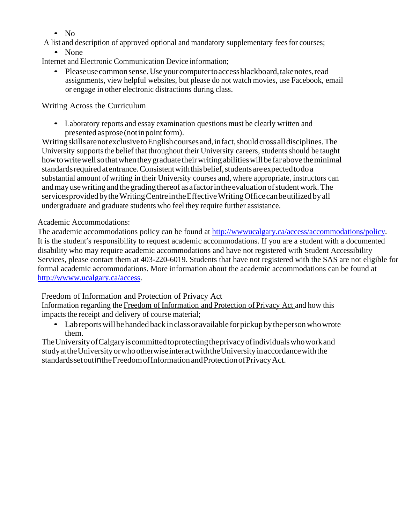- $\bullet$  No
- A list and description of approved optional and mandatory supplementary feesfor courses;

# • None

- Internet and Electronic Communication Device information;
	- Please use common sense. Use your computer to access blackboard, take notes, read assignments, view helpful websites, but please do not watch movies, use Facebook, email or engage in other electronic distractions during class.

# Writing Across the Curriculum

• Laboratory reports and essay examination questions must be clearly written and presented asprose (notinpointform).

WritingskillsarenotexclusivetoEnglishcoursesand,infact,shouldcrossalldisciplines.The University supports the belief that throughout their University careers, students should be taught how to write well so that when they graduate their writing abilities will be far above the minimal standards required at entrance. Consistent with this belief, students are expected to do a substantial amount of writing in their University courses and, where appropriate, instructors can and may use writing and the grading thereof as a factor in the evaluation of student work. The servicesprovidedbytheWritingCentreintheEffectiveWritingOfficecanbeutilizedbyall undergraduate and graduate students who feel they require further assistance.

# Academic Accommodations:

The academic accommodations policy can be found at http://www.ucalgary.ca/access/accommodations/policy. It is the student's responsibility to request academic accommodations. If you are a student with a documented disability who may require academic accommodations and have not registered with Student Accessibility Services, please contact them at 403-220-6019. Students that have not registered with the SAS are not eligible for formal academic accommodations. More information about the academic accommodations can be found at [http://wwww.ucalgary.ca/access.](http://wwww.ucalgary.ca/access)

Freedom of Information and Protection of Privacy Act

Information regarding the Freedom of Information and Protection of Privacy Act and how this impacts the receipt and delivery of course material;

• Labreports will be handed back in class or available for pickup by the person who wrote them.

TheUniversityofCalgaryiscommittedtoprotectingtheprivacyofindividualswhoworkand studyattheUniversity orwhootherwiseinteractwiththeUniversityinaccordancewiththe standardssetoutintheFreedomofInformationandProtectionofPrivacyAct.